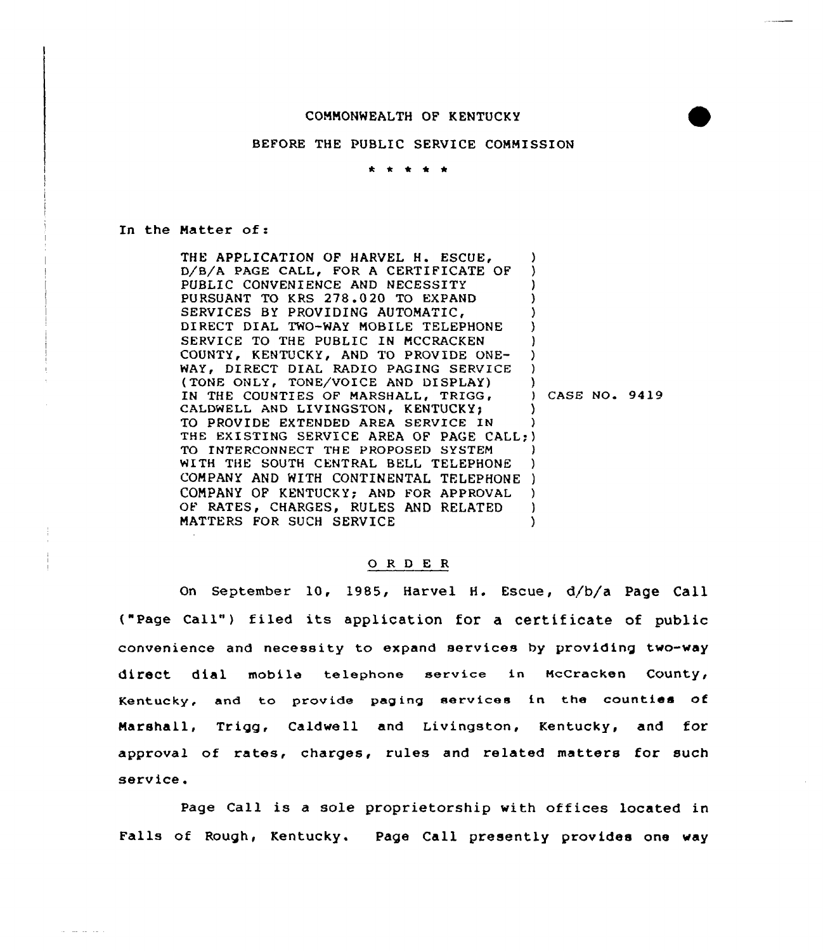## COMMONWEALTH OF KENTUCKY

## BEFORE THE PUBLIC SERVICE COMMISSION

. . . . .

## In the Matter of:

المتعاطف الطاراطين

THE APPLICATION OF HARVEL H. ESCUE, ) D/8/A PAGE CALL, FOR A CERTIFICATE OF 3 PUBLIC CONVENIENCE AND NECESSITY ) PURSUANT TO KRS 278.020 TO EXPAND ) SERVICES BY PROVIDING AUTOMATIC, ) DIRECT DIAL TWO-WAY MOBILE TELEPHONE SERVICE TO THE PUBLIC IN MCCRACKEN ) COUNTY, KENTUCKY, AND TO PROVIDE ONE-) WAY, DIRECT DIAL RADIO PAGING SERVICE ) (TONE ONLY, TONE/VOICE AND DISPLAY) ) ) CASE NO. 9419 IN THE COUNTIES OF MARSHALL, TRIGG, CALDWELL AND LIVINGSTON, KENTUCKY; TO PROVIDE EXTENDED AREA SERVICE IN THE EXISTING SERVICE AREA OF PAGE CALL; ) TO INTERCONNECT THE PROPOSED SYSTEM WITH THE SOUTH CENTRAL BELL TELEPHONE ) COMPANY AND WITH CONTINENTAL TELEPHONE ) COMPANY OF KENTUCKY; AND FOR APPROVAL  $\lambda$ OF RATES, CHARGES, RULES AND RELATED ) MATTERS FOR SUCH SERVICE A

## 0 <sup>R</sup> <sup>D</sup> E <sup>R</sup>

On September 10, 1985, Harvel H. Escue, d/b/a Page Call ("Page Call") filed its application for a certificate of public convenience and necessity to expand services by providing two-way direct dial mobile telephone service in McCracken County, Kentucky, and to provide paging services in the counties of Marshall, Trigg, Caldwell and Livingston, Kentucky, and for approval of rates, charges, rules and related matters for such service.

Page Call is a sole proprietorship with offices located in Falls of Rough, Kentucky. Page Call presently provides one way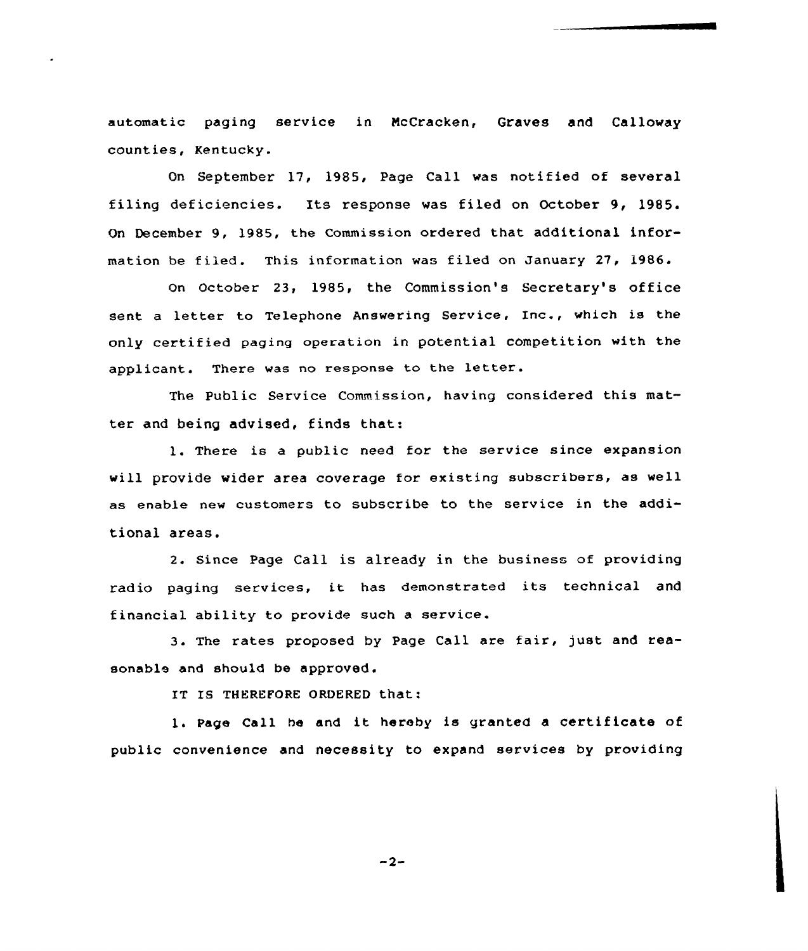automatic paging service in NcCracken, Graves and Calloway counties, Kentucky.

On September 17, 1985, Page Call was notified of several filing deficiencies. Its response was filed on October 9, 1985. On December 9, 1985, the Commission ordered that additional information be filed. This information was filed on January 27, 1986.

On October 23, 1985, the Commission's Secretary's office sent <sup>a</sup> letter to Telephone Answering Service, Inc., which is the only certified paging operation in potential competition with the applicant. There was no response to the letter.

The Public Service Commission, having considered this matter and being advised, finds that:

1. There is <sup>a</sup> public need for the service since expansion will provide wider area coverage for existing subscribers, as well as enable new customers to subscribe to the service in the additional areas.

2. Since Page Call is already in the business of providing radio paging services, it has demonstrated its technical and financial ability to provide such <sup>a</sup> service.

3. The rates proposed by Page Call are fair, just and reasonable and should be approved.

IT IS THEREFORE ORDERED that:

1. Page Call he and it hereby is granted a certificate of public convenience and necessity to expand services by providing

 $-2-$